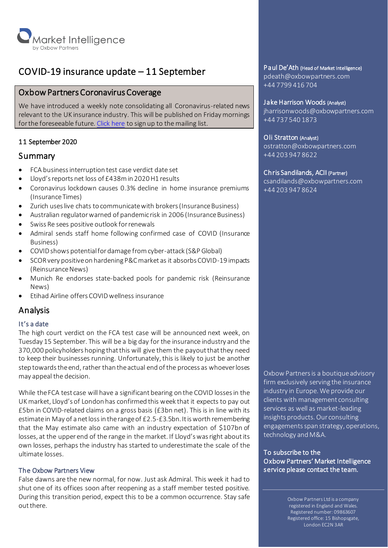

# COVID-19 insurance update – 11 September

# Oxbow Partners Coronavirus Coverage

We have introduced a weekly note consolidating all Coronavirus-related news relevant to the UK insurance industry. This will be published on Friday mornings for the foreseeable future[. Click here](http://oxbowpartners-7474208.hs-sites.com/covid-19) to sign up to the mailing list.

# 11 September 2020

# Summary

- FCA business interruption test case verdict date set
- Lloyd's reports net loss of £438m in 2020 H1 results
- Coronavirus lockdown causes 0.3% decline in home insurance premiums (Insurance Times)
- Zurich uses live chats to communicate with brokers (Insurance Business)
- Australian regulator warned of pandemic risk in 2006 (Insurance Business)
- Swiss Re sees positive outlook for renewals
- Admiral sends staff home following confirmed case of COVID (Insurance Business)
- COVID shows potential for damage from cyber-attack (S&P Global)
- SCOR very positive on hardening P&C market as it absorbs COVID-19 impacts (Reinsurance News)
- Munich Re endorses state-backed pools for pandemic risk (Reinsurance News)
- Etihad Airline offers COVID wellness insurance

# Analysis

# It's a date

The high court verdict on the FCA test case will be announced next week, on Tuesday 15 September. This will be a big day for the insurance industry and the 370,000 policyholders hoping that this will give them the payout that they need to keep their businesses running. Unfortunately,this is likely to just be another step towards the end, rather than the actual end of the process as whoever loses may appeal the decision.

While the FCA test case will have a significant bearing on the COVID losses in the UK market, Lloyd's of London has confirmed this week that it expects to pay out £5bn in COVID-related claims on a gross basis (£3bn net). This is in line with its estimate in May of a net loss in the range of £2.5-£3.5bn. It is worth remembering that the May estimate also came with an industry expectation of \$107bn of losses, at the upper end of the range in the market. If Lloyd's was right about its own losses, perhaps the industry has started to underestimate the scale of the ultimate losses.

# The Oxbow Partners View

False dawns are the new normal, for now. Just ask Admiral. This week it had to shut one of its offices soon after reopening as a staff member tested positive. During this transition period, expect this to be a common occurrence. Stay safe out there.

# Paul De'Ath (Head of Market Intelligence)

pdeath@oxbowpartners.com +44 7799 416 704

#### Jake Harrison Woods (Analyst)

jharrisonwoods@oxbowpartners.com +44 737 540 1873

# Oli Stratton (Analyst)

ostratton@oxbowpartners.com +44 203 947 8622

# Chris Sandilands, ACII (Partner)

csandilands@oxbowpartners.com +44 203 947 8624

Oxbow Partners is a boutique advisory firm exclusively serving the insurance industry in Europe. We provide our clients with management consulting services as well as market-leading insights products. Our consulting engagements span strategy, operations, technology and M&A.

To subscribe to the Oxbow Partners' Market Intelligence service please contact the team.

> Oxbow Partners Ltd is a company registered in England and Wales. Registered number: 09863607 Registered office: 15 Bishopsgate, London EC2N 3AR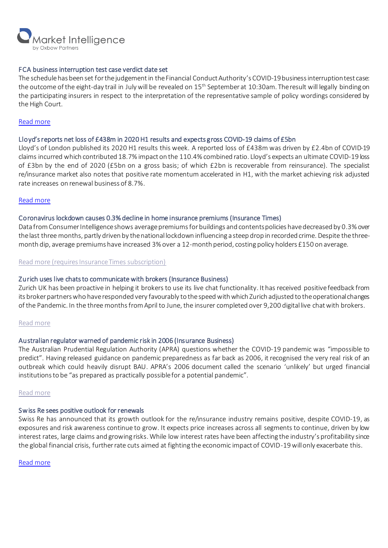

#### FCA business interruption test case verdict date set

The schedule has been set for the judgement in the Financial Conduct Authority's COVID-19 business interruptiontest case: the outcome of the eight-day trail in July will be revealed on 15<sup>th</sup> September at 10:30am. The result will legally binding on the participating insurers in respect to the interpretation of the representative sample of policy wordings considered by the High Court.

#### [Read more](https://www.fca.org.uk/firms/business-interruption-insurance#latest-updates)

# Lloyd's reports net loss of £438m in 2020 H1 results and expects gross COVID-19 claims of £5bn

Lloyd's of London published its 2020 H1 results this week. A reported loss of £438m was driven by £2.4bn of COVID-19 claims incurred which contributed 18.7% impact on the 110.4% combined ratio. Lloyd's expects an ultimate COVID-19 loss of £3bn by the end of 2020 (£5bn on a gross basis; of which £2bn is recoverable from reinsurance). The specialist re/insurance market also notes that positive rate momentum accelerated in H1, with the market achieving risk adjusted rate increases on renewal business of 8.7%.

# [Read more](https://www.lloyds.com/investor-relations/financial-performance/financial-results/half-year-results-2020)

# Coronavirus lockdown causes 0.3% decline in home insurance premiums (Insurance Times)

Data from Consumer Intelligence shows average premiums for buildings and contents policies have decreased by 0.3% over the last three months, partly driven by the national lockdown influencing a steep drop in recorded crime. Despite the threemonth dip, average premiums have increased 3% over a 12-month period, costing policy holders £150 on average.

[Read more \(requires Insurance Times subscription\)](https://www.insurancetimes.co.uk/news/coronavirus-lockdown-causes-03-decline-in-home-insurance-premiums/1434404.article)

#### Zurich uses live chats to communicate with brokers (Insurance Business)

Zurich UK has been proactive in helping it brokers to use its live chat functionality. It has received positivefeedback from its broker partners who have responded very favourably to the speed with which Zurich adjusted to the operational changes of the Pandemic. In the three months from April to June, the insurer completed over 9,200 digital live chat with brokers.

#### [Read more](https://www.insurancebusinessmag.com/uk/news/breaking-news/zurich-uks-head-of-retail-on-how-the-covid-crisis-has-impacted-brokers-digital-capabilities-232807.aspx)

# Australian regulator warned of pandemic risk in 2006 (Insurance Business)

The Australian Prudential Regulation Authority (APRA) questions whether the COVID-19 pandemic was "impossible to predict". Having released guidance on pandemic preparedness as far back as 2006, it recognised the very real risk of an outbreak which could heavily disrupt BAU. APRA's 2006 document called the scenario 'unlikely' but urged financial institutions to be "as prepared as practically possible for a potential pandemic".

#### [Read more](https://www.insurancebusinessmag.com/nz/news/breaking-news/should-the-insurance-industry-have-been-better-prepared-for-covid19-232742.aspx)

#### Swiss Re sees positive outlook for renewals

Swiss Re has announced that its growth outlook for the re/insurance industry remains positive, despite COVID-19, as exposures and risk awareness continue to grow. It expects price increases across all segments to continue, driven by low interest rates, large claims and growing risks. While low interest rates have been affecting the industry's profitability since the global financial crisis, further rate cuts aimed at fighting the economic impact of COVID-19 will only exacerbate this.

[Read more](https://www.swissre.com/media/news-releases/nr-20200908-swiss-re-sees-positive-outlook-for-renewals.html)